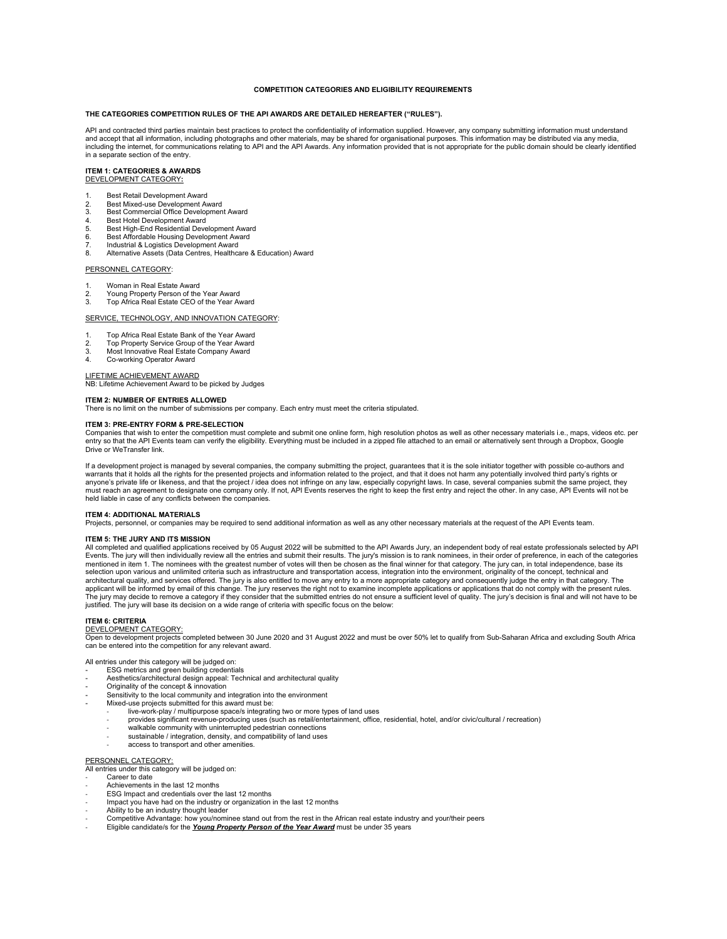## **COMPETITION CATEGORIES AND ELIGIBILITY REQUIREMENTS**

#### **THE CATEGORIES COMPETITION RULES OF THE API AWARDS ARE DETAILED HEREAFTER ("RULES").**

API and contracted third parties maintain best practices to protect the confidentiality of information supplied. However, any company submitting information must understand and accept that all information, including photographs and other materials, may be shared for organisational purposes. This information may be distributed via any media, including the internet, for communications relating to API and the API Awards. Any information provided that is not appropriate for the public domain should be clearly identified in a separate section of the entry.

#### **ITEM 1: CATEGORIES & AWARDS** DEVELOPMENT CATEGORY**:**

- 
- 1. Best Retail Development Award<br>2. Best Mixed-use Development Av
- 2. Best Mixed-use Development Award<br>3. Best Commercial Office Development
- 3. Best Commercial Office Development Award
- 4. Best Hotel Development Award<br>5. Best High-End Residential Deve 5. Best High-End Residential Development Award
- 6. Best Affordable Housing Development Award
- 7. Industrial & Logistics Development Award<br>8. Alternative Assets (Data Centres, Healthca
- 8. Alternative Assets (Data Centres, Healthcare & Education) Award

## PERSONNEL CATEGORY:

- 1. Woman in Real Estate Award<br>2. Young Property Person of the
- 2. Young Property Person of the Year Award<br>3. Top Africa Real Estate CEO of the Year Award
- 3. Top Africa Real Estate CEO of the Year Award

#### SERVICE, TECHNOLOGY, AND INNOVATION CATEGORY:

- 1. Top Africa Real Estate Bank of the Year Award<br>2. Top Property Service Group of the Year Award
- 2. Top Property Service Group of the Year Award 3. Most Innovative Real Estate Company Award
- 
- 4. Co-working Operator Award

## LIFETIME ACHIEVEMENT AWARD

NB: Lifetime Achievement Award to be picked by Judges

#### **ITEM 2: NUMBER OF ENTRIES ALLOWED**

There is no limit on the number of submissions per company. Each entry must meet the criteria stipulated.

## **ITEM 3: PRE-ENTRY FORM & PRE-SELECTION**

Companies that wish to enter the competition must complete and submit one online form, high resolution photos as well as other necessary materials i.e., maps, videos etc. per<br>entry so that the API Events team can verify th Drive or WeTransfer link.

If a development project is managed by several companies, the company submitting the project, guarantees that it is the sole initiator together with possible co-authors and warrants that it holds all the rights for the presented projects and information related to the project, and that it does not harm any potentially involved third party's rights or<br>anyone's private life or likeness, and tha must reach an agreement to designate one company only. If not, API Events reserves the right to keep the first entry and reject the other. In any case, API Events will not be held liable in case of any conflicts between the companies.

#### **ITEM 4: ADDITIONAL MATERIALS**

Projects, personnel, or companies may be required to send additional information as well as any other necessary materials at the request of the API Events team.

#### **ITEM 5: THE JURY AND ITS MISSION**

All completed and qualified applications received by 05 August 2022 will be submitted to the API Awards Jury, an independent body of real estate professionals selected by API Events. The jury will then individually review all the entries and submit their results. The jury's mission is to rank nominees, in their order of preference, in each of the categories mentioned in item 1. The nominees with the greatest number of votes will then be chosen as the final winner for that category. The jury can, in total independence, base its selection upon various and unlimited criteria such as infrastructure and transportation access, integration into the environment, originality of the concept, technical and architectural quality, and services offered. The jury is also entitled to move any entry to a more appropriate category and consequently judge the entry in that category. The applicant will be informed by email of this change. The jury reserves the right not to examine incomplete applications or applications that do not comply with the present rules. The jury may decide to remove a category if they consider that the submitted entries do not ensure a sufficient level of quality. The jury's decision is final and will not have to be<br>justified. The jury will base its decis

### **ITEM 6: CRITERIA**

## DEVELOPMENT CATEGORY:

Open to development projects completed between 30 June 2020 and 31 August 2022 and must be over 50% let to qualify from Sub-Saharan Africa and excluding South Africa<br>can be entered into the competition for any relevant awa

All entries under this category will be judged on: - ESG metrics and green building credentials

- Aesthetics/architectural design appeal: Technical and architectural quality
- Originality of the concept & innovation
- ensitivity to the local community and integration into the environment
- Mixed-use projects submitted for this award must be:
	- live-work-play / multipurpose space/s integrating two or more types of land uses
	- provides significant revenue-producing uses (such as retail/entertainment, office, residential, hotel, and/or civic/cultural / recreation)
	- walkable community with uninterrupted pedestrian connections
	- sustainable / integration, density, and compatibility of land uses
	- access to transport and other amenities.

## PERSONNEL CATEGORY:

All entries under this category will be judged on:

- Career to date
- Achievements in the last 12 months
- ESG Impact and credentials over the last 12 months Impact you have had on the industry or organization in the last 12 months
- 
- Ability to be an industry thought leader
- Competitive Advantage: how you/nominee stand out from the rest in the African real estate industry and your/their peers Eligible candidate/s for the *Young Property Person of the Year Award* must be under 35 years